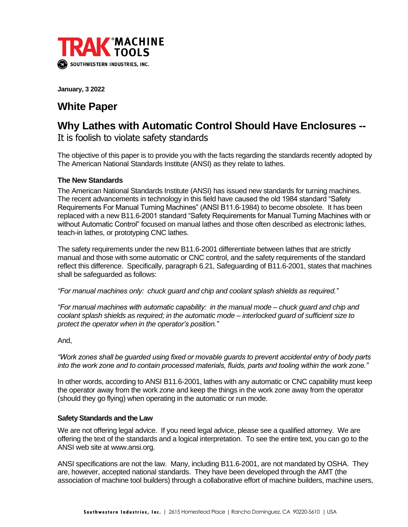

**January, 3 2022**

## **White Paper**

# **Why Lathes with Automatic Control Should Have Enclosures --**

It is foolish to violate safety standards

The objective of this paper is to provide you with the facts regarding the standards recently adopted by The American National Standards Institute (ANSI) as they relate to lathes.

## **The New Standards**

The American National Standards Institute (ANSI) has issued new standards for turning machines. The recent advancements in technology in this field have caused the old 1984 standard "Safety Requirements For Manual Turning Machines" (ANSI B11.6-1984) to become obsolete. It has been replaced with a new B11.6-2001 standard "Safety Requirements for Manual Turning Machines with or without Automatic Control" focused on manual lathes and those often described as electronic lathes, teach-in lathes, or prototyping CNC lathes.

The safety requirements under the new B11.6-2001 differentiate between lathes that are strictly manual and those with some automatic or CNC control, and the safety requirements of the standard reflect this difference. Specifically, paragraph 6.21, Safeguarding of B11.6-2001, states that machines shall be safeguarded as follows:

*"For manual machines only: chuck guard and chip and coolant splash shields as required."*

*"For manual machines with automatic capability: in the manual mode – chuck guard and chip and coolant splash shields as required; in the automatic mode – interlocked guard of sufficient size to protect the operator when in the operator's position."*

### And,

*"Work zones shall be guarded using fixed or movable guards to prevent accidental entry of body parts into the work zone and to contain processed materials, fluids, parts and tooling within the work zone."*

In other words, according to ANSI B11.6-2001, lathes with any automatic or CNC capability must keep the operator away from the work zone and keep the things in the work zone away from the operator (should they go flying) when operating in the automatic or run mode.

#### **Safety Standards and the Law**

We are not offering legal advice. If you need legal advice, please see a qualified attorney. We are offering the text of the standards and a logical interpretation. To see the entire text, you can go to the ANSI web site at www.ansi.org.

ANSI specifications are not the law. Many, including B11.6-2001, are not mandated by OSHA. They are, however, accepted national standards. They have been developed through the AMT (the association of machine tool builders) through a collaborative effort of machine builders, machine users,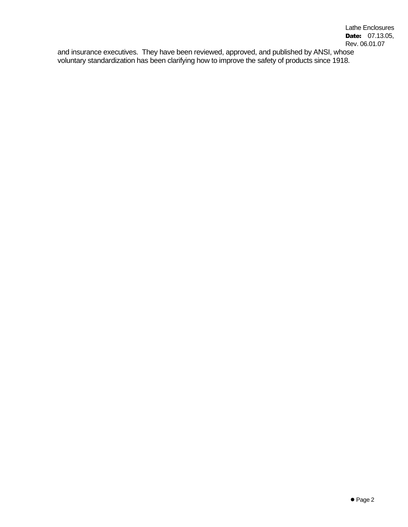and insurance executives. They have been reviewed, approved, and published by ANSI, whose voluntary standardization has been clarifying how to improve the safety of products since 1918.